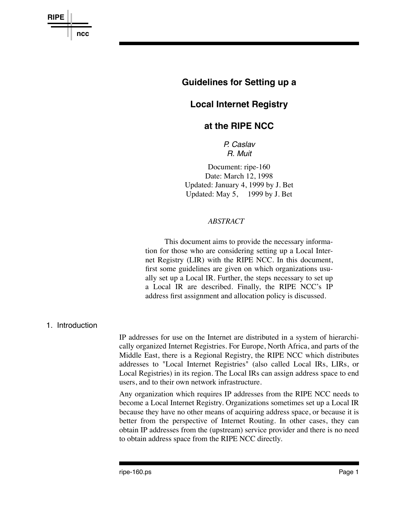

# **Guidelines for Setting up a**

# **Local Internet Registry**

# **at the RIPE NCC**

*P. Caslav R. Muit*

Document: ripe-160 Date: March 12, 1998 Updated: January 4, 1999 by J. Bet Updated: May 5, 1999 by J. Bet

### *ABSTRACT*

This document aims to provide the necessary information for those who are considering setting up a Local Internet Registry (LIR) with the RIPE NCC. In this document, first some guidelines are given on which organizations usually set up a Local IR. Further, the steps necessary to set up a Local IR are described. Finally, the RIPE NCC's IP address first assignment and allocation policy is discussed.

### 1. Introduction

IP addresses for use on the Internet are distributed in a system of hierarchically organized Internet Registries. For Europe, North Africa, and parts of the Middle East, there is a Regional Registry, the RIPE NCC which distributes addresses to "Local Internet Registries" (also called Local IRs, LIRs, or Local Registries) in its region. The Local IRs can assign address space to end users, and to their own network infrastructure.

Any organization which requires IP addresses from the RIPE NCC needs to become a Local Internet Registry. Organizations sometimes set up a Local IR because they have no other means of acquiring address space, or because it is better from the perspective of Internet Routing. In other cases, they can obtain IP addresses from the (upstream) service provider and there is no need to obtain address space from the RIPE NCC directly.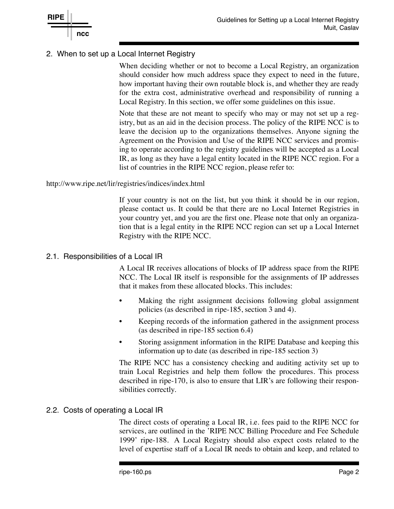

# 2. When to set up a Local Internet Registry

When deciding whether or not to become a Local Registry, an organization should consider how much address space they expect to need in the future, how important having their own routable block is, and whether they are ready for the extra cost, administrative overhead and responsibility of running a Local Registry. In this section, we offer some guidelines on this issue.

Note that these are not meant to specify who may or may not set up a registry, but as an aid in the decision process. The policy of the RIPE NCC is to leave the decision up to the organizations themselves. Anyone signing the Agreement on the Provision and Use of the RIPE NCC services and promising to operate according to the registry guidelines will be accepted as a Local IR, as long as they have a legal entity located in the RIPE NCC region. For a list of countries in the RIPE NCC region, please refer to:

http://www.ripe.net/lir/registries/indices/index.html

If your country is not on the list, but you think it should be in our region, please contact us. It could be that there are no Local Internet Registries in your country yet, and you are the first one. Please note that only an organization that is a legal entity in the RIPE NCC region can set up a Local Internet Registry with the RIPE NCC.

# 2.1. Responsibilities of a Local IR

A Local IR receives allocations of blocks of IP address space from the RIPE NCC. The Local IR itself is responsible for the assignments of IP addresses that it makes from these allocated blocks. This includes:

- Making the right assignment decisions following global assignment policies (as described in ripe-185, section 3 and 4).
- Keeping records of the information gathered in the assignment process (as described in ripe-185 section 6.4)
- Storing assignment information in the RIPE Database and keeping this information up to date (as described in ripe-185 section 3)

The RIPE NCC has a consistency checking and auditing activity set up to train Local Registries and help them follow the procedures. This process described in ripe-170, is also to ensure that LIR's are following their responsibilities correctly.

# 2.2. Costs of operating a Local IR

The direct costs of operating a Local IR, i.e. fees paid to the RIPE NCC for services, are outlined in the 'RIPE NCC Billing Procedure and Fee Schedule 1999' ripe-188. A Local Registry should also expect costs related to the level of expertise staff of a Local IR needs to obtain and keep, and related to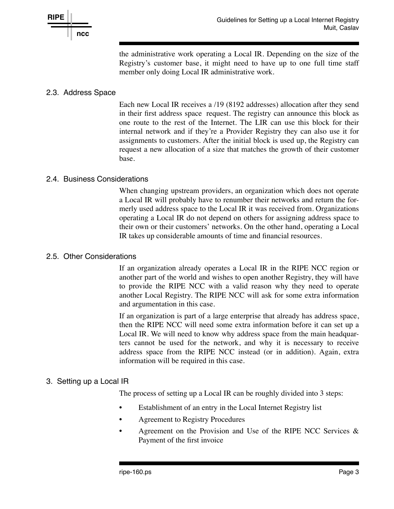

the administrative work operating a Local IR. Depending on the size of the Registry's customer base, it might need to have up to one full time staff member only doing Local IR administrative work.

# 2.3. Address Space

Each new Local IR receives a /19 (8192 addresses) allocation after they send in their first address space request. The registry can announce this block as one route to the rest of the Internet. The LIR can use this block for their internal network and if they're a Provider Registry they can also use it for assignments to customers. After the initial block is used up, the Registry can request a new allocation of a size that matches the growth of their customer base.

### 2.4. Business Considerations

When changing upstream providers, an organization which does not operate a Local IR will probably have to renumber their networks and return the formerly used address space to the Local IR it was received from. Organizations operating a Local IR do not depend on others for assigning address space to their own or their customers' networks. On the other hand, operating a Local IR takes up considerable amounts of time and financial resources.

### 2.5. Other Considerations

If an organization already operates a Local IR in the RIPE NCC region or another part of the world and wishes to open another Registry, they will have to provide the RIPE NCC with a valid reason why they need to operate another Local Registry. The RIPE NCC will ask for some extra information and argumentation in this case.

If an organization is part of a large enterprise that already has address space, then the RIPE NCC will need some extra information before it can set up a Local IR. We will need to know why address space from the main headquarters cannot be used for the network, and why it is necessary to receive address space from the RIPE NCC instead (or in addition). Again, extra information will be required in this case.

# 3. Setting up a Local IR

The process of setting up a Local IR can be roughly divided into 3 steps:

- Establishment of an entry in the Local Internet Registry list
- Agreement to Registry Procedures
- Agreement on the Provision and Use of the RIPE NCC Services  $\&$ Payment of the first invoice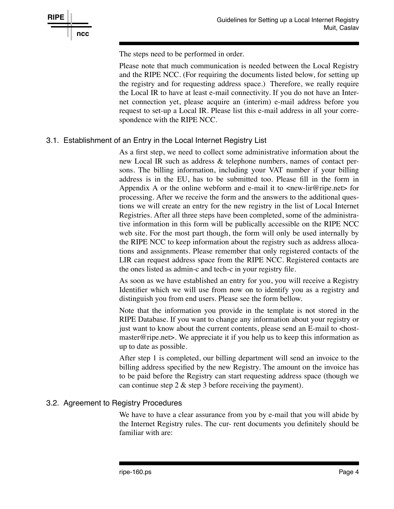

The steps need to be performed in order.

Please note that much communication is needed between the Local Registry and the RIPE NCC. (For requiring the documents listed below, for setting up the registry and for requesting address space.) Therefore, we really require the Local IR to have at least e-mail connectivity. If you do not have an Internet connection yet, please acquire an (interim) e-mail address before you request to set-up a Local IR. Please list this e-mail address in all your correspondence with the RIPE NCC.

# 3.1. Establishment of an Entry in the Local Internet Registry List

As a first step, we need to collect some administrative information about the new Local IR such as address & telephone numbers, names of contact persons. The billing information, including your VAT number if your billing address is in the EU, has to be submitted too. Please fill in the form in Appendix A or the online webform and e-mail it to  $\langle$ new-lir@ripe.net $\rangle$  for processing. After we receive the form and the answers to the additional questions we will create an entry for the new registry in the list of Local Internet Registries. After all three steps have been completed, some of the administrative information in this form will be publically accessible on the RIPE NCC web site. For the most part though, the form will only be used internally by the RIPE NCC to keep information about the registry such as address allocations and assignments. Please remember that only registered contacts of the LIR can request address space from the RIPE NCC. Registered contacts are the ones listed as admin-c and tech-c in your registry file.

As soon as we have established an entry for you, you will receive a Registry Identifier which we will use from now on to identify you as a registry and distinguish you from end users. Please see the form bellow.

Note that the information you provide in the template is not stored in the RIPE Database. If you want to change any information about your registry or just want to know about the current contents, please send an E-mail to <hostmaster@ripe.net>. We appreciate it if you help us to keep this information as up to date as possible.

After step 1 is completed, our billing department will send an invoice to the billing address specified by the new Registry. The amount on the invoice has to be paid before the Registry can start requesting address space (though we can continue step 2 & step 3 before receiving the payment).

# 3.2. Agreement to Registry Procedures

We have to have a clear assurance from you by e-mail that you will abide by the Internet Registry rules. The cur- rent documents you definitely should be familiar with are: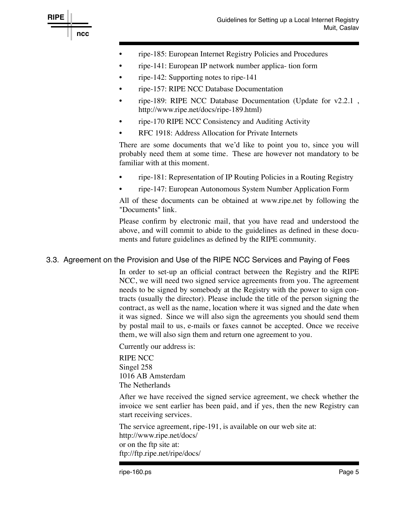

- ripe-185: European Internet Registry Policies and Procedures
- ripe-141: European IP network number applica- tion form
- ripe-142: Supporting notes to ripe-141
- ripe-157: RIPE NCC Database Documentation
- ripe-189: RIPE NCC Database Documentation (Update for v2.2.1 , http://www.ripe.net/docs/ripe-189.html)
- ripe-170 RIPE NCC Consistency and Auditing Activity
- RFC 1918: Address Allocation for Private Internets

There are some documents that we'd like to point you to, since you will probably need them at some time. These are however not mandatory to be familiar with at this moment.

- ripe-181: Representation of IP Routing Policies in a Routing Registry
- ripe-147: European Autonomous System Number Application Form

All of these documents can be obtained at www.ripe.net by following the "Documents" link.

Please confirm by electronic mail, that you have read and understood the above, and will commit to abide to the guidelines as defined in these documents and future guidelines as defined by the RIPE community.

# 3.3. Agreement on the Provision and Use of the RIPE NCC Services and Paying of Fees

In order to set-up an official contract between the Registry and the RIPE NCC, we will need two signed service agreements from you. The agreement needs to be signed by somebody at the Registry with the power to sign contracts (usually the director). Please include the title of the person signing the contract, as well as the name, location where it was signed and the date when it was signed. Since we will also sign the agreements you should send them by postal mail to us, e-mails or faxes cannot be accepted. Once we receive them, we will also sign them and return one agreement to you.

Currently our address is:

RIPE NCC Singel 258 1016 AB Amsterdam The Netherlands

After we have received the signed service agreement, we check whether the invoice we sent earlier has been paid, and if yes, then the new Registry can start receiving services.

The service agreement, ripe-191, is available on our web site at: http://www.ripe.net/docs/ or on the ftp site at: ftp://ftp.ripe.net/ripe/docs/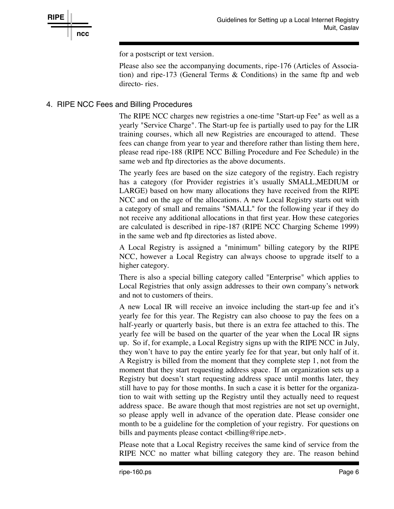for a postscript or text version.

Please also see the accompanying documents, ripe-176 (Articles of Association) and ripe-173 (General Terms & Conditions) in the same ftp and web directo- ries.

# 4. RIPE NCC Fees and Billing Procedures

The RIPE NCC charges new registries a one-time "Start-up Fee" as well as a yearly "Service Charge". The Start-up fee is partially used to pay for the LIR training courses, which all new Registries are encouraged to attend. These fees can change from year to year and therefore rather than listing them here, please read ripe-188 (RIPE NCC Billing Procedure and Fee Schedule) in the same web and ftp directories as the above documents.

The yearly fees are based on the size category of the registry. Each registry has a category (for Provider registries it's usually SMALL,MEDIUM or LARGE) based on how many allocations they have received from the RIPE NCC and on the age of the allocations. A new Local Registry starts out with a category of small and remains "SMALL" for the following year if they do not receive any additional allocations in that first year. How these categories are calculated is described in ripe-187 (RIPE NCC Charging Scheme 1999) in the same web and ftp directories as listed above.

A Local Registry is assigned a "minimum" billing category by the RIPE NCC, however a Local Registry can always choose to upgrade itself to a higher category.

There is also a special billing category called "Enterprise" which applies to Local Registries that only assign addresses to their own company's network and not to customers of theirs.

A new Local IR will receive an invoice including the start-up fee and it's yearly fee for this year. The Registry can also choose to pay the fees on a half-yearly or quarterly basis, but there is an extra fee attached to this. The yearly fee will be based on the quarter of the year when the Local IR signs up. So if, for example, a Local Registry signs up with the RIPE NCC in July, they won't have to pay the entire yearly fee for that year, but only half of it. A Registry is billed from the moment that they complete step 1, not from the moment that they start requesting address space. If an organization sets up a Registry but doesn't start requesting address space until months later, they still have to pay for those months. In such a case it is better for the organization to wait with setting up the Registry until they actually need to request address space. Be aware though that most registries are not set up overnight, so please apply well in advance of the operation date. Please consider one month to be a guideline for the completion of your registry. For questions on bills and payments please contact <br/>shilling@ripe.net>.

Please note that a Local Registry receives the same kind of service from the RIPE NCC no matter what billing category they are. The reason behind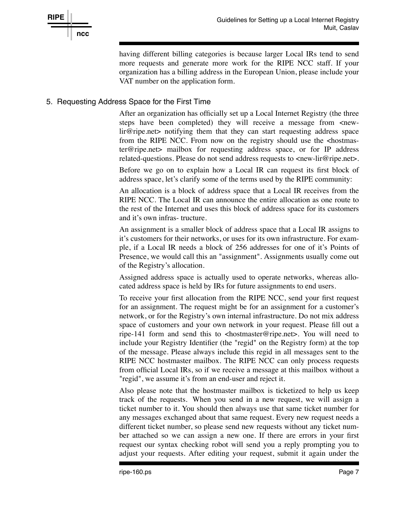

having different billing categories is because larger Local IRs tend to send more requests and generate more work for the RIPE NCC staff. If your organization has a billing address in the European Union, please include your VAT number on the application form.

# 5. Requesting Address Space for the First Time

After an organization has officially set up a Local Internet Registry (the three steps have been completed) they will receive a message from <newlir@ripe.net> notifying them that they can start requesting address space from the RIPE NCC. From now on the registry should use the <hostmaster@ripe.net> mailbox for requesting address space, or for IP address related-questions. Please do not send address requests to <new-lir@ripe.net>.

Before we go on to explain how a Local IR can request its first block of address space, let's clarify some of the terms used by the RIPE community:

An allocation is a block of address space that a Local IR receives from the RIPE NCC. The Local IR can announce the entire allocation as one route to the rest of the Internet and uses this block of address space for its customers and it's own infras- tructure.

An assignment is a smaller block of address space that a Local IR assigns to it's customers for their networks, or uses for its own infrastructure. For example, if a Local IR needs a block of 256 addresses for one of it's Points of Presence, we would call this an "assignment". Assignments usually come out of the Registry's allocation.

Assigned address space is actually used to operate networks, whereas allocated address space is held by IRs for future assignments to end users.

To receive your first allocation from the RIPE NCC, send your first request for an assignment. The request might be for an assignment for a customer's network, or for the Registry's own internal infrastructure. Do not mix address space of customers and your own network in your request. Please fill out a ripe-141 form and send this to <hostmaster@ripe.net>. You will need to include your Registry Identifier (the "regid" on the Registry form) at the top of the message. Please always include this regid in all messages sent to the RIPE NCC hostmaster mailbox. The RIPE NCC can only process requests from official Local IRs, so if we receive a message at this mailbox without a "regid", we assume it's from an end-user and reject it.

Also please note that the hostmaster mailbox is ticketized to help us keep track of the requests. When you send in a new request, we will assign a ticket number to it. You should then always use that same ticket number for any messages exchanged about that same request. Every new request needs a different ticket number, so please send new requests without any ticket number attached so we can assign a new one. If there are errors in your first request our syntax checking robot will send you a reply prompting you to adjust your requests. After editing your request, submit it again under the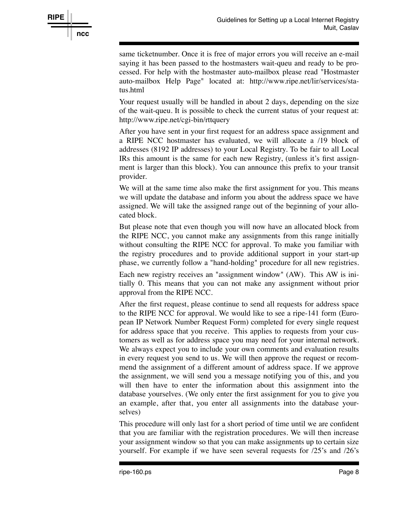

same ticketnumber. Once it is free of major errors you will receive an e-mail saying it has been passed to the hostmasters wait-queu and ready to be processed. For help with the hostmaster auto-mailbox please read "Hostmaster auto-mailbox Help Page" located at: http://www.ripe.net/lir/services/status.html

Your request usually will be handled in about 2 days, depending on the size of the wait-queu. It is possible to check the current status of your request at: http://www.ripe.net/cgi-bin/rttquery

After you have sent in your first request for an address space assignment and a RIPE NCC hostmaster has evaluated, we will allocate a /19 block of addresses (8192 IP addresses) to your Local Registry. To be fair to all Local IRs this amount is the same for each new Registry, (unless it's first assignment is larger than this block). You can announce this prefix to your transit provider.

We will at the same time also make the first assignment for you. This means we will update the database and inform you about the address space we have assigned. We will take the assigned range out of the beginning of your allocated block.

But please note that even though you will now have an allocated block from the RIPE NCC, you cannot make any assignments from this range initially without consulting the RIPE NCC for approval. To make you familiar with the registry procedures and to provide additional support in your start-up phase, we currently follow a "hand-holding" procedure for all new registries.

Each new registry receives an "assignment window" (AW). This AW is initially 0. This means that you can not make any assignment without prior approval from the RIPE NCC.

After the first request, please continue to send all requests for address space to the RIPE NCC for approval. We would like to see a ripe-141 form (European IP Network Number Request Form) completed for every single request for address space that you receive. This applies to requests from your customers as well as for address space you may need for your internal network. We always expect you to include your own comments and evaluation results in every request you send to us. We will then approve the request or recommend the assignment of a different amount of address space. If we approve the assignment, we will send you a message notifying you of this, and you will then have to enter the information about this assignment into the database yourselves. (We only enter the first assignment for you to give you an example, after that, you enter all assignments into the database yourselves)

This procedure will only last for a short period of time until we are confident that you are familiar with the registration procedures. We will then increase your assignment window so that you can make assignments up to certain size yourself. For example if we have seen several requests for /25's and /26's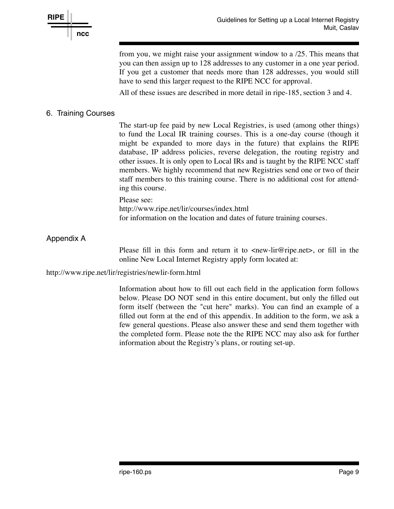

from you, we might raise your assignment window to a /25. This means that you can then assign up to 128 addresses to any customer in a one year period. If you get a customer that needs more than 128 addresses, you would still have to send this larger request to the RIPE NCC for approval.

All of these issues are described in more detail in ripe-185, section 3 and 4.

### 6. Training Courses

The start-up fee paid by new Local Registries, is used (among other things) to fund the Local IR training courses. This is a one-day course (though it might be expanded to more days in the future) that explains the RIPE database, IP address policies, reverse delegation, the routing registry and other issues. It is only open to Local IRs and is taught by the RIPE NCC staff members. We highly recommend that new Registries send one or two of their staff members to this training course. There is no additional cost for attending this course.

#### Please see:

http://www.ripe.net/lir/courses/index.html for information on the location and dates of future training courses.

# Appendix A

Please fill in this form and return it to  $\langle$ new-lir@ripe.net $\rangle$ , or fill in the online New Local Internet Registry apply form located at:

http://www.ripe.net/lir/registries/newlir-form.html

Information about how to fill out each field in the application form follows below. Please DO NOT send in this entire document, but only the filled out form itself (between the "cut here" marks). You can find an example of a filled out form at the end of this appendix. In addition to the form, we ask a few general questions. Please also answer these and send them together with the completed form. Please note the the RIPE NCC may also ask for further information about the Registry's plans, or routing set-up.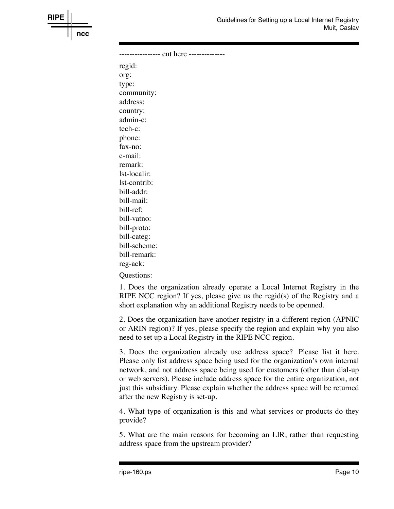

---------------- cut here ------------- regid: org: type: community: address: country: admin-c: tech-c: phone: fax-no: e-mail: remark: lst-localir: lst-contrib: bill-addr: bill-mail: bill-ref: bill-vatno: bill-proto: bill-categ: bill-scheme: bill-remark: reg-ack:

**RIPE**

**ncc**

Questions:

1. Does the organization already operate a Local Internet Registry in the RIPE NCC region? If yes, please give us the regid(s) of the Registry and a short explanation why an additional Registry needs to be openned.

2. Does the organization have another registry in a different region (APNIC or ARIN region)? If yes, please specify the region and explain why you also need to set up a Local Registry in the RIPE NCC region.

3. Does the organization already use address space? Please list it here. Please only list address space being used for the organization's own internal network, and not address space being used for customers (other than dial-up or web servers). Please include address space for the entire organization, not just this subsidiary. Please explain whether the address space will be returned after the new Registry is set-up.

4. What type of organization is this and what services or products do they provide?

5. What are the main reasons for becoming an LIR, rather than requesting address space from the upstream provider?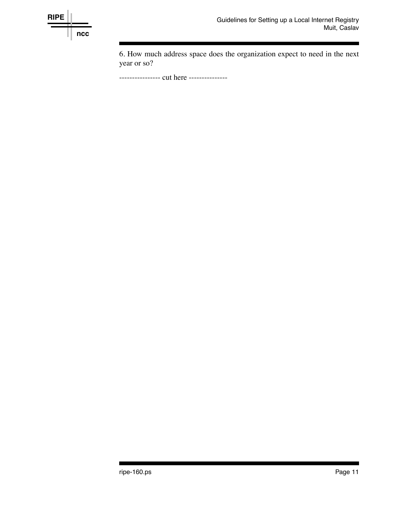

6. How much address space does the organization expect to need in the next year or so?

----------------- cut here ----------------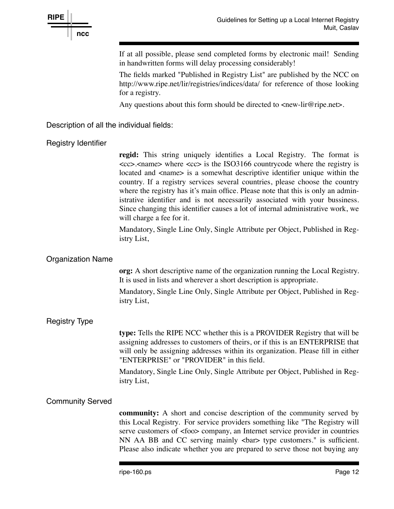

If at all possible, please send completed forms by electronic mail! Sending in handwritten forms will delay processing considerably!

The fields marked "Published in Registry List" are published by the NCC on http://www.ripe.net/lir/registries/indices/data/ for reference of those looking for a registry.

Any questions about this form should be directed to  $\langle$ new-lir@ripe.net $\rangle$ .

Description of all the individual fields:

### Registry Identifier

**regid:** This string uniquely identifies a Local Registry. The format is <cc>.<name> where <cc> is the ISO3166 countrycode where the registry is located and  $\langle$ name> is a somewhat descriptive identifier unique within the country. If a registry services several countries, please choose the country where the registry has it's main office. Please note that this is only an administrative identifier and is not necessarily associated with your bussiness. Since changing this identifier causes a lot of internal administrative work, we will charge a fee for it.

Mandatory, Single Line Only, Single Attribute per Object, Published in Registry List,

# Organization Name

**org:** A short descriptive name of the organization running the Local Registry. It is used in lists and wherever a short description is appropriate.

Mandatory, Single Line Only, Single Attribute per Object, Published in Registry List,

### Registry Type

**type:** Tells the RIPE NCC whether this is a PROVIDER Registry that will be assigning addresses to customers of theirs, or if this is an ENTERPRISE that will only be assigning addresses within its organization. Please fill in either "ENTERPRISE" or "PROVIDER" in this field.

Mandatory, Single Line Only, Single Attribute per Object, Published in Registry List,

### Community Served

**community:** A short and concise description of the community served by this Local Registry. For service providers something like "The Registry will serve customers of <foo> company, an Internet service provider in countries NN AA BB and CC serving mainly <br/> <br/>dormarrow type customers." is sufficient. Please also indicate whether you are prepared to serve those not buying any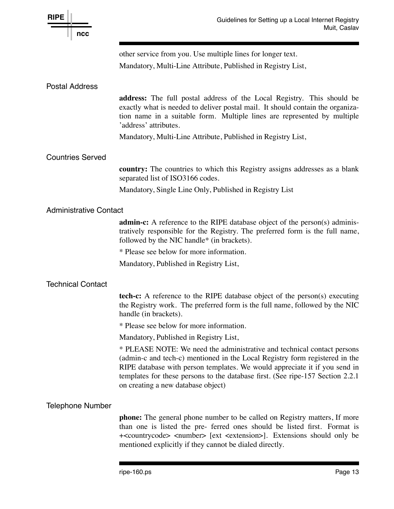| <b>RIPE</b><br>ncc            | Guidelines for Setting up a Local Internet Registry<br>Muit, Caslav                                                                                                                                                                                                                                                                                           |  |
|-------------------------------|---------------------------------------------------------------------------------------------------------------------------------------------------------------------------------------------------------------------------------------------------------------------------------------------------------------------------------------------------------------|--|
|                               | other service from you. Use multiple lines for longer text.<br>Mandatory, Multi-Line Attribute, Published in Registry List,                                                                                                                                                                                                                                   |  |
| <b>Postal Address</b>         |                                                                                                                                                                                                                                                                                                                                                               |  |
|                               | address: The full postal address of the Local Registry. This should be<br>exactly what is needed to deliver postal mail. It should contain the organiza-<br>tion name in a suitable form. Multiple lines are represented by multiple<br>'address' attributes.                                                                                                 |  |
|                               | Mandatory, Multi-Line Attribute, Published in Registry List,                                                                                                                                                                                                                                                                                                  |  |
| <b>Countries Served</b>       |                                                                                                                                                                                                                                                                                                                                                               |  |
|                               | <b>country:</b> The countries to which this Registry assigns addresses as a blank<br>separated list of ISO3166 codes.                                                                                                                                                                                                                                         |  |
|                               | Mandatory, Single Line Only, Published in Registry List                                                                                                                                                                                                                                                                                                       |  |
| <b>Administrative Contact</b> |                                                                                                                                                                                                                                                                                                                                                               |  |
|                               | <b>admin-c:</b> A reference to the RIPE database object of the person(s) adminis-<br>tratively responsible for the Registry. The preferred form is the full name,<br>followed by the NIC handle* (in brackets).                                                                                                                                               |  |
|                               | * Please see below for more information.                                                                                                                                                                                                                                                                                                                      |  |
|                               | Mandatory, Published in Registry List,                                                                                                                                                                                                                                                                                                                        |  |
| <b>Technical Contact</b>      |                                                                                                                                                                                                                                                                                                                                                               |  |
|                               | tech-c: A reference to the RIPE database object of the person(s) executing<br>the Registry work. The preferred form is the full name, followed by the NIC<br>handle (in brackets).                                                                                                                                                                            |  |
|                               | * Please see below for more information.                                                                                                                                                                                                                                                                                                                      |  |
|                               | Mandatory, Published in Registry List,                                                                                                                                                                                                                                                                                                                        |  |
|                               | * PLEASE NOTE: We need the administrative and technical contact persons<br>(admin-c and tech-c) mentioned in the Local Registry form registered in the<br>RIPE database with person templates. We would appreciate it if you send in<br>templates for these persons to the database first. (See ripe-157 Section 2.2.1)<br>on creating a new database object) |  |
| <b>Telephone Number</b>       |                                                                                                                                                                                                                                                                                                                                                               |  |
|                               | <b>phone:</b> The general phone number to be called on Registry matters, If more<br>than one is listed the pre- ferred ones should be listed first. Format is<br>+ <countrycode> <number> [ext <extension>]. Extensions should only be<br/>mentioned explicitly if they cannot be dialed directly.</extension></number></countrycode>                         |  |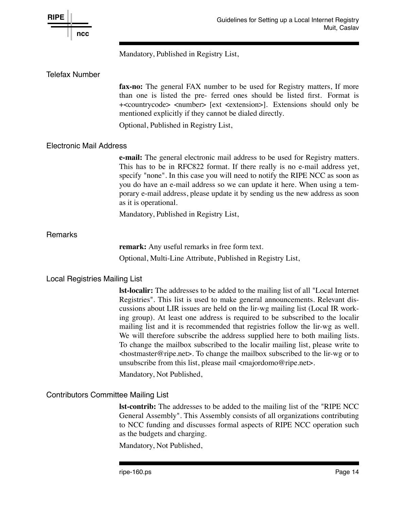

Mandatory, Published in Registry List,

### Telefax Number

**fax-no:** The general FAX number to be used for Registry matters, If more than one is listed the pre- ferred ones should be listed first. Format is +<countrycode> <number> [ext <extension>]. Extensions should only be mentioned explicitly if they cannot be dialed directly.

Optional, Published in Registry List,

### Electronic Mail Address

**e-mail:** The general electronic mail address to be used for Registry matters. This has to be in RFC822 format. If there really is no e-mail address yet, specify "none". In this case you will need to notify the RIPE NCC as soon as you do have an e-mail address so we can update it here. When using a temporary e-mail address, please update it by sending us the new address as soon as it is operational.

Mandatory, Published in Registry List,

### **Remarks**

**remark:** Any useful remarks in free form text. Optional, Multi-Line Attribute, Published in Registry List,

### Local Registries Mailing List

**lst-localir:** The addresses to be added to the mailing list of all "Local Internet Registries". This list is used to make general announcements. Relevant discussions about LIR issues are held on the lir-wg mailing list (Local IR working group). At least one address is required to be subscribed to the localir mailing list and it is recommended that registries follow the lir-wg as well. We will therefore subscribe the address supplied here to both mailing lists. To change the mailbox subscribed to the localir mailing list, please write to <hostmaster@ripe.net>. To change the mailbox subscribed to the lir-wg or to unsubscribe from this list, please mail  $\langle$ majordomo@ripe.net $\rangle$ .

Mandatory, Not Published,

# Contributors Committee Mailing List

**lst-contrib:** The addresses to be added to the mailing list of the "RIPE NCC General Assembly". This Assembly consists of all organizations contributing to NCC funding and discusses formal aspects of RIPE NCC operation such as the budgets and charging.

Mandatory, Not Published,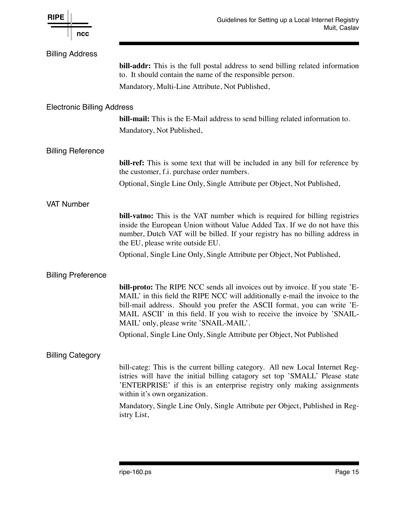| <b>RIPE</b><br>ncc                | Guidelines for Setting up a Local Internet Registry<br>Muit, Caslav                                                                                                                                                                                                                                                                                                   |
|-----------------------------------|-----------------------------------------------------------------------------------------------------------------------------------------------------------------------------------------------------------------------------------------------------------------------------------------------------------------------------------------------------------------------|
| <b>Billing Address</b>            |                                                                                                                                                                                                                                                                                                                                                                       |
|                                   | <b>bill-addr:</b> This is the full postal address to send billing related information<br>to. It should contain the name of the responsible person.                                                                                                                                                                                                                    |
|                                   | Mandatory, Multi-Line Attribute, Not Published,                                                                                                                                                                                                                                                                                                                       |
| <b>Electronic Billing Address</b> |                                                                                                                                                                                                                                                                                                                                                                       |
|                                   | <b>bill-mail:</b> This is the E-Mail address to send billing related information to.                                                                                                                                                                                                                                                                                  |
|                                   | Mandatory, Not Published,                                                                                                                                                                                                                                                                                                                                             |
| <b>Billing Reference</b>          |                                                                                                                                                                                                                                                                                                                                                                       |
|                                   | <b>bill-ref:</b> This is some text that will be included in any bill for reference by<br>the customer, f.i. purchase order numbers.                                                                                                                                                                                                                                   |
|                                   | Optional, Single Line Only, Single Attribute per Object, Not Published,                                                                                                                                                                                                                                                                                               |
| <b>VAT Number</b>                 |                                                                                                                                                                                                                                                                                                                                                                       |
|                                   | <b>bill-vatno:</b> This is the VAT number which is required for billing registries<br>inside the European Union without Value Added Tax. If we do not have this<br>number, Dutch VAT will be billed. If your registry has no billing address in<br>the EU, please write outside EU.                                                                                   |
|                                   | Optional, Single Line Only, Single Attribute per Object, Not Published,                                                                                                                                                                                                                                                                                               |
| <b>Billing Preference</b>         |                                                                                                                                                                                                                                                                                                                                                                       |
|                                   | <b>bill-proto:</b> The RIPE NCC sends all invoices out by invoice. If you state 'E-<br>MAIL' in this field the RIPE NCC will additionally e-mail the invoice to the<br>bill-mail address. Should you prefer the ASCII format, you can write 'E-<br>MAIL ASCII' in this field. If you wish to receive the invoice by 'SNAIL-<br>MAIL' only, please write 'SNAIL-MAIL'. |
|                                   | Optional, Single Line Only, Single Attribute per Object, Not Published                                                                                                                                                                                                                                                                                                |
| <b>Billing Category</b>           |                                                                                                                                                                                                                                                                                                                                                                       |
|                                   | bill-categ: This is the current billing category. All new Local Internet Reg-<br>istries will have the initial billing catagory set top 'SMALL' Please state<br>'ENTERPRISE' if this is an enterprise registry only making assignments<br>within it's own organization.                                                                                               |
|                                   | Mandatory, Single Line Only, Single Attribute per Object, Published in Reg-<br>istry List,                                                                                                                                                                                                                                                                            |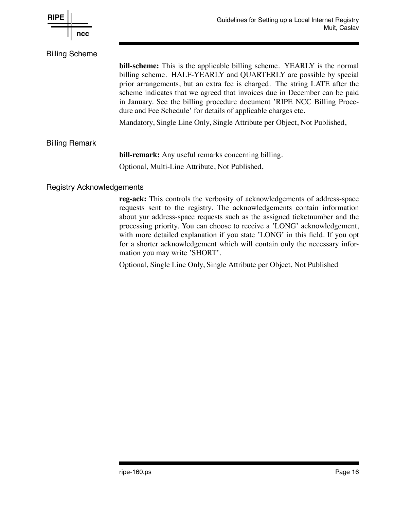

mation you may write 'SHORT'.

processing priority. You can choose to receive a 'LONG' acknowledgement, with more detailed explanation if you state 'LONG' in this field. If you opt for a shorter acknowledgement which will contain only the necessary infor-

Optional, Single Line Only, Single Attribute per Object, Not Published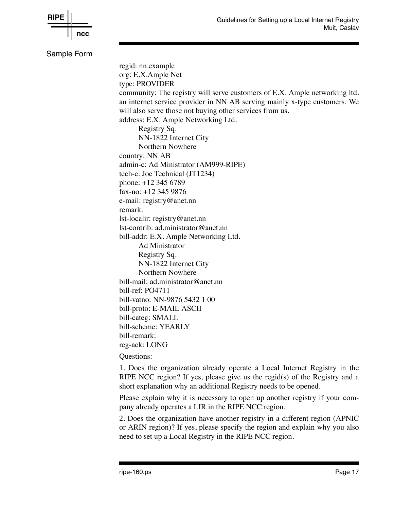

Sample Form regid: nn.example org: E.X.Ample Net type: PROVIDER community: The registry will serve customers of E.X. Ample networking ltd. an internet service provider in NN AB serving mainly x-type customers. We will also serve those not buying other services from us. address: E.X. Ample Networking Ltd. Registry Sq. NN-1822 Internet City Northern Nowhere country: NN AB admin-c: Ad Ministrator (AM999-RIPE) tech-c: Joe Technical (JT1234) phone: +12 345 6789 fax-no: +12 345 9876 e-mail: registry@anet.nn remark: lst-localir: registry@anet.nn lst-contrib: ad.ministrator@anet.nn bill-addr: E.X. Ample Networking Ltd. Ad Ministrator Registry Sq. NN-1822 Internet City Northern Nowhere bill-mail: ad.ministrator@anet.nn bill-ref: PO4711 bill-vatno: NN-9876 5432 1 00 bill-proto: E-MAIL ASCII bill-categ: SMALL bill-scheme: YEARLY bill-remark: reg-ack: LONG Questions:

> 1. Does the organization already operate a Local Internet Registry in the RIPE NCC region? If yes, please give us the regid(s) of the Registry and a short explanation why an additional Registry needs to be opened.

> Please explain why it is necessary to open up another registry if your company already operates a LIR in the RIPE NCC region.

> 2. Does the organization have another registry in a different region (APNIC or ARIN region)? If yes, please specify the region and explain why you also need to set up a Local Registry in the RIPE NCC region.